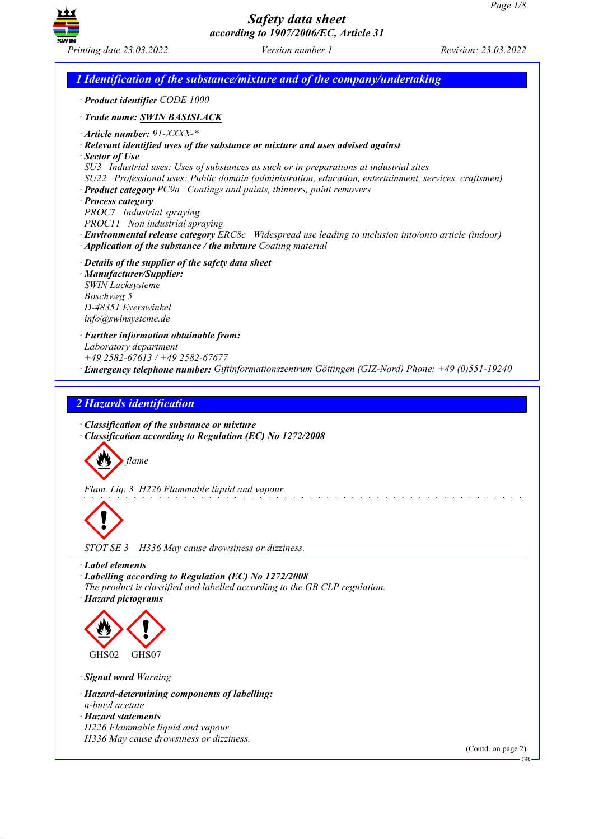

*Printing date 23.03.2022 Version number 1 Revision: 23.03.2022*

*1 Identification of the substance/mixture and of the company/undertaking · Product identifier CODE 1000 · Trade name: SWIN BASISLACK · Article number: 91-XXXX-\* · Relevant identified uses of the substance or mixture and uses advised against · Sector of Use SU3 Industrial uses: Uses of substances as such or in preparations at industrial sites SU22 Professional uses: Public domain (administration, education, entertainment, services, craftsmen) · Product category PC9a Coatings and paints, thinners, paint removers · Process category PROC7 Industrial spraying PROC11 Non industrial spraying · Environmental release category ERC8c Widespread use leading to inclusion into/onto article (indoor) · Application of the substance / the mixture Coating material · Details of the supplier of the safety data sheet · Manufacturer/Supplier: SWIN Lacksysteme Boschweg 5 D-48351 Everswinkel info@swinsysteme.de · Further information obtainable from: Laboratory department +49 2582-67613 / +49 2582-67677 · Emergency telephone number: Giftinformationszentrum Göttingen (GIZ-Nord) Phone: +49 (0)551-19240 2 Hazards identification · Classification of the substance or mixture · Classification according to Regulation (EC) No 1272/2008 flame Flam. Liq. 3 H226 Flammable liquid and vapour.*  $\langle \cdot \rangle$ *STOT SE 3 H336 May cause drowsiness or dizziness. · Label elements · Labelling according to Regulation (EC) No 1272/2008 The product is classified and labelled according to the GB CLP regulation. · Hazard pictograms* E GHS<sub>02</sub>  $\langle \cdot \rangle$ GHS07 *· Signal word Warning · Hazard-determining components of labelling: n-butyl acetate · Hazard statements*

*H226 Flammable liquid and vapour. H336 May cause drowsiness or dizziness.*

(Contd. on page 2)

GB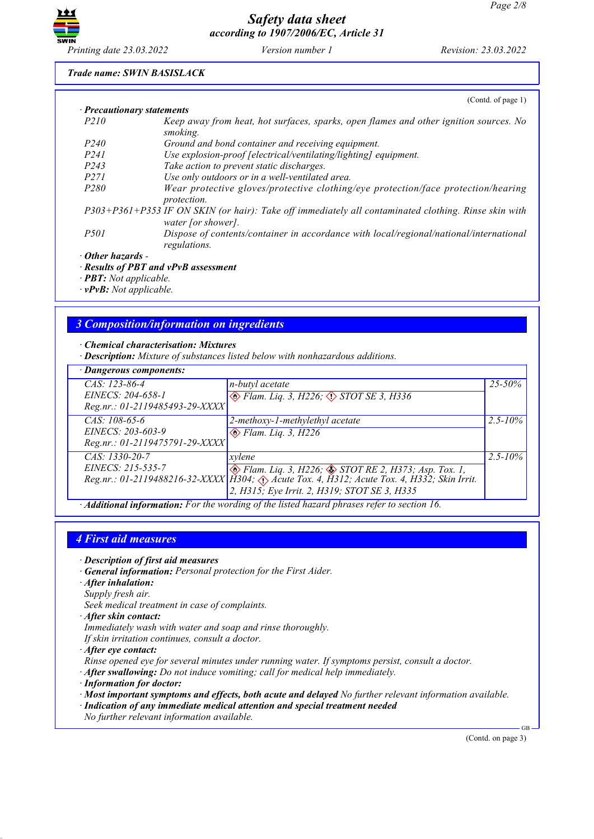

#### *Trade name: SWIN BASISLACK*

|                                  | (Contd. of page $1$ )                                                                                                      |
|----------------------------------|----------------------------------------------------------------------------------------------------------------------------|
| $\cdot$ Precautionary statements |                                                                                                                            |
| <i>P210</i>                      | Keep away from heat, hot surfaces, sparks, open flames and other ignition sources. No<br>smoking.                          |
| <i>P240</i>                      | Ground and bond container and receiving equipment.                                                                         |
| P <sub>24</sub> 1                | Use explosion-proof [electrical/ventilating/lighting] equipment.                                                           |
| P <sub>243</sub>                 | Take action to prevent static discharges.                                                                                  |
| <i>P271</i>                      | Use only outdoors or in a well-ventilated area.                                                                            |
| P <sub>280</sub>                 | Wear protective gloves/protective clothing/eye protection/face protection/hearing<br><i>protection.</i>                    |
|                                  | P303+P361+P353 IF ON SKIN (or hair): Take off immediately all contaminated clothing. Rinse skin with<br>water [or shower]. |
| <i>P501</i>                      | Dispose of contents/container in accordance with local/regional/national/international<br>regulations.                     |
| · Other hazards -                |                                                                                                                            |
|                                  | · Results of PBT and vPvB assessment                                                                                       |

*· PBT: Not applicable.*

*· vPvB: Not applicable.*

### *3 Composition/information on ingredients*

*· Chemical characterisation: Mixtures*

*· Description: Mixture of substances listed below with nonhazardous additions.*

| · Dangerous components:                                                |                                                                                                                                                                                                               |              |  |  |
|------------------------------------------------------------------------|---------------------------------------------------------------------------------------------------------------------------------------------------------------------------------------------------------------|--------------|--|--|
| $CAS: 123-86-4$<br>EINECS: 204-658-1<br>Reg.nr.: 01-2119485493-29-XXXX | n-butyl acetate<br>$\otimes$ Flam. Liq. 3, H226; $\otimes$ STOT SE 3, H336                                                                                                                                    | $25 - 50\%$  |  |  |
| CAS: 108-65-6<br>EINECS: 203-603-9<br>Reg.nr.: 01-2119475791-29-XXXX   | $2$ -methoxy-1-methylethyl acetate<br>$\otimes$ Flam. Liq. 3, H226                                                                                                                                            | $2.5 - 10\%$ |  |  |
| CAS: 1330-20-7<br>EINECS: 215-535-7                                    | xvlene<br>◈ Flam. Liq. 3, H226; ♦ STOT RE 2, H373; Asp. Tox. 1,<br>Reg.nr.: 01-2119488216-32-XXXX   H304; Acute Tox. 4, H312; Acute Tox. 4, H332; Skin Irrit.<br>2, H315; Eye Irrit. 2, H319; STOT SE 3, H335 | $2.5 - 10\%$ |  |  |

*· Additional information: For the wording of the listed hazard phrases refer to section 16.*

#### *4 First aid measures*

- *· Description of first aid measures*
- *· General information: Personal protection for the First Aider.*
- *· After inhalation:*
- *Supply fresh air.*
- *Seek medical treatment in case of complaints.*
- *· After skin contact:*
- *Immediately wash with water and soap and rinse thoroughly. If skin irritation continues, consult a doctor.*
- *· After eye contact:*
- *Rinse opened eye for several minutes under running water. If symptoms persist, consult a doctor.*
- *· After swallowing: Do not induce vomiting; call for medical help immediately.*
- *· Information for doctor:*
- *· Most important symptoms and effects, both acute and delayed No further relevant information available.*
- *· Indication of any immediate medical attention and special treatment needed No further relevant information available.*

(Contd. on page 3)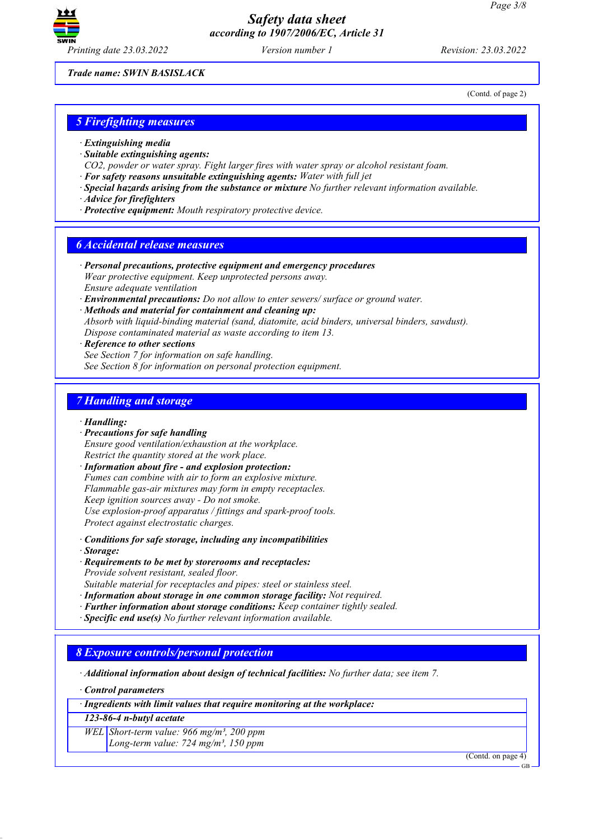

(Contd. of page 2)

*Trade name: SWIN BASISLACK*

*5 Firefighting measures*

- *· Extinguishing media*
- *· Suitable extinguishing agents:*
- *CO2, powder or water spray. Fight larger fires with water spray or alcohol resistant foam.*
- *· For safety reasons unsuitable extinguishing agents: Water with full jet*
- *· Special hazards arising from the substance or mixture No further relevant information available.*
- *· Advice for firefighters*
- *· Protective equipment: Mouth respiratory protective device.*

#### *6 Accidental release measures*

- *· Personal precautions, protective equipment and emergency procedures Wear protective equipment. Keep unprotected persons away. Ensure adequate ventilation*
- *· Environmental precautions: Do not allow to enter sewers/ surface or ground water.*
- *· Methods and material for containment and cleaning up: Absorb with liquid-binding material (sand, diatomite, acid binders, universal binders, sawdust). Dispose contaminated material as waste according to item 13.*
- *· Reference to other sections*

*See Section 7 for information on safe handling. See Section 8 for information on personal protection equipment.*

#### *7 Handling and storage*

*· Handling:*

*· Precautions for safe handling*

*Ensure good ventilation/exhaustion at the workplace. Restrict the quantity stored at the work place.*

*· Information about fire - and explosion protection: Fumes can combine with air to form an explosive mixture. Flammable gas-air mixtures may form in empty receptacles. Keep ignition sources away - Do not smoke. Use explosion-proof apparatus / fittings and spark-proof tools. Protect against electrostatic charges.*

*· Conditions for safe storage, including any incompatibilities*

*· Storage:*

*· Requirements to be met by storerooms and receptacles:*

*Provide solvent resistant, sealed floor.*

*Suitable material for receptacles and pipes: steel or stainless steel.*

- *· Information about storage in one common storage facility: Not required.*
- *· Further information about storage conditions: Keep container tightly sealed.*
- *· Specific end use(s) No further relevant information available.*

#### *8 Exposure controls/personal protection*

*· Additional information about design of technical facilities: No further data; see item 7.*

*· Control parameters*

*· Ingredients with limit values that require monitoring at the workplace:*

*123-86-4 n-butyl acetate*

*WEL Short-term value: 966 mg/m³, 200 ppm Long-term value: 724 mg/m³, 150 ppm*

(Contd. on page 4)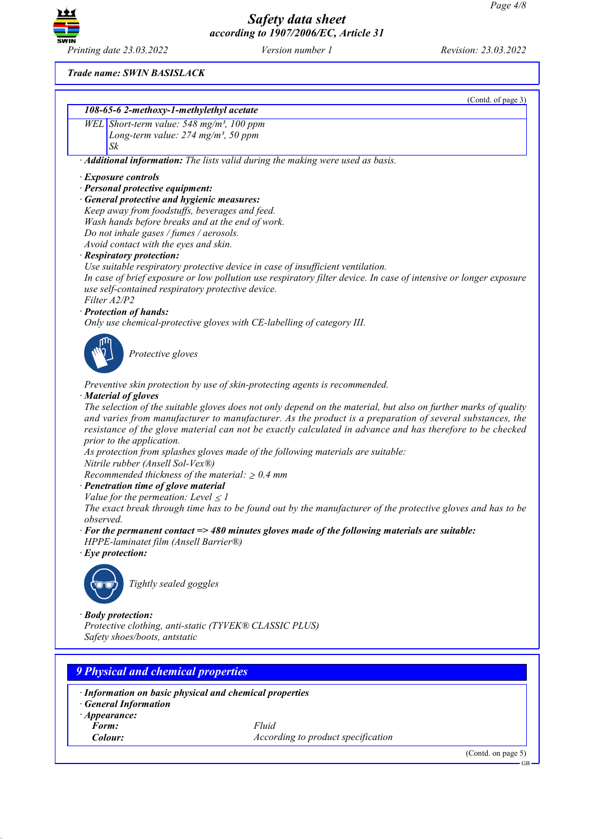

*Printing date 23.03.2022 Version number 1 Revision: 23.03.2022*

(Contd. of page 3)

*Trade name: SWIN BASISLACK*

| 108-65-6 2-methoxy-1-methylethyl acetate                                                |                                                                                                                   |
|-----------------------------------------------------------------------------------------|-------------------------------------------------------------------------------------------------------------------|
| WEL Short-term value: 548 mg/m <sup>3</sup> , 100 ppm                                   |                                                                                                                   |
| Long-term value: $274$ mg/m <sup>3</sup> , 50 ppm                                       |                                                                                                                   |
| Sk                                                                                      |                                                                                                                   |
|                                                                                         | · Additional information: The lists valid during the making were used as basis.                                   |
| · Exposure controls                                                                     |                                                                                                                   |
| · Personal protective equipment:                                                        |                                                                                                                   |
| · General protective and hygienic measures:                                             |                                                                                                                   |
| Keep away from foodstuffs, beverages and feed.                                          |                                                                                                                   |
| Wash hands before breaks and at the end of work.                                        |                                                                                                                   |
| Do not inhale gases / fumes / aerosols.                                                 |                                                                                                                   |
| Avoid contact with the eyes and skin.                                                   |                                                                                                                   |
| · Respiratory protection:                                                               |                                                                                                                   |
|                                                                                         | Use suitable respiratory protective device in case of insufficient ventilation.                                   |
|                                                                                         | In case of brief exposure or low pollution use respiratory filter device. In case of intensive or longer exposure |
| use self-contained respiratory protective device.<br>Filter A2/P2                       |                                                                                                                   |
| · Protection of hands:                                                                  |                                                                                                                   |
| Only use chemical-protective gloves with CE-labelling of category III.                  |                                                                                                                   |
|                                                                                         |                                                                                                                   |
| Protective gloves                                                                       |                                                                                                                   |
|                                                                                         |                                                                                                                   |
|                                                                                         | Preventive skin protection by use of skin-protecting agents is recommended.                                       |
| · Material of gloves                                                                    |                                                                                                                   |
|                                                                                         | The selection of the suitable gloves does not only depend on the material, but also on further marks of quality   |
|                                                                                         | and varies from manufacturer to manufacturer. As the product is a preparation of several substances, the          |
|                                                                                         | resistance of the glove material can not be exactly calculated in advance and has therefore to be checked         |
| prior to the application.                                                               |                                                                                                                   |
|                                                                                         | As protection from splashes gloves made of the following materials are suitable:                                  |
| Nitrile rubber (Ansell Sol-Vex®)                                                        |                                                                                                                   |
| Recommended thickness of the material: $\geq 0.4$ mm                                    |                                                                                                                   |
| · Penetration time of glove material                                                    |                                                                                                                   |
| Value for the permeation: Level $\leq$ 1                                                |                                                                                                                   |
|                                                                                         | The exact break through time has to be found out by the manufacturer of the protective gloves and has to be       |
| observed.                                                                               | $\cdot$ For the permanent contact $\Rightarrow$ 480 minutes gloves made of the following materials are suitable:  |
| HPPE-laminatet film (Ansell Barrier®)                                                   |                                                                                                                   |
| $\cdot$ Eye protection:                                                                 |                                                                                                                   |
|                                                                                         |                                                                                                                   |
| Tightly sealed goggles                                                                  |                                                                                                                   |
|                                                                                         |                                                                                                                   |
|                                                                                         |                                                                                                                   |
| · Body protection:                                                                      |                                                                                                                   |
| Protective clothing, anti-static (TYVEK® CLASSIC PLUS)<br>Safety shoes/boots, antstatic |                                                                                                                   |
|                                                                                         |                                                                                                                   |
|                                                                                         |                                                                                                                   |
| <b>9 Physical and chemical properties</b>                                               |                                                                                                                   |
| · Information on basic physical and chemical properties                                 |                                                                                                                   |
|                                                                                         |                                                                                                                   |
| <b>General Information</b>                                                              |                                                                                                                   |
| $\cdot$ Appearance:                                                                     |                                                                                                                   |
| Form:                                                                                   | Fluid                                                                                                             |
| Colour:                                                                                 | According to product specification                                                                                |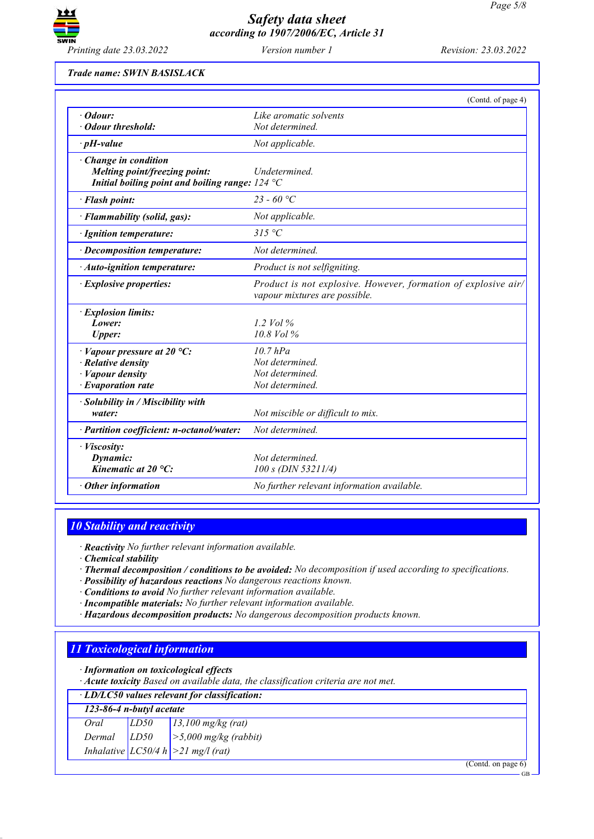

*Trade name: SWIN BASISLACK*

|                                                                                                          | (Contd. of page 4)                                                                              |
|----------------------------------------------------------------------------------------------------------|-------------------------------------------------------------------------------------------------|
| $\cdot$ Odour:                                                                                           | Like aromatic solvents                                                                          |
| · Odour threshold:                                                                                       | Not determined.                                                                                 |
| $\cdot$ pH-value                                                                                         | Not applicable.                                                                                 |
| Change in condition                                                                                      |                                                                                                 |
| Melting point/freezing point:<br>Initial boiling point and boiling range: $124 \text{ }^{\circ}\text{C}$ | <i>Undetermined</i>                                                                             |
|                                                                                                          |                                                                                                 |
| · Flash point:                                                                                           | 23 - 60 °C                                                                                      |
| · Flammability (solid, gas):                                                                             | Not applicable.                                                                                 |
| · Ignition temperature:                                                                                  | 315 °C                                                                                          |
| · Decomposition temperature:                                                                             | Not determined.                                                                                 |
| · Auto-ignition temperature:                                                                             | Product is not selfigniting.                                                                    |
| · Explosive properties:                                                                                  | Product is not explosive. However, formation of explosive air/<br>vapour mixtures are possible. |
| · Explosion limits:                                                                                      |                                                                                                 |
| Lower:                                                                                                   | $1.2$ Vol $\%$                                                                                  |
| <b>Upper:</b>                                                                                            | 10.8 Vol %                                                                                      |
| $\cdot$ Vapour pressure at 20 °C:                                                                        | $10.7$ $hPa$                                                                                    |
| $\cdot$ Relative density                                                                                 | Not determined.                                                                                 |
| · Vapour density                                                                                         | Not determined.                                                                                 |
| $\cdot$ Evaporation rate                                                                                 | Not determined.                                                                                 |
| · Solubility in / Miscibility with                                                                       |                                                                                                 |
| water:                                                                                                   | Not miscible or difficult to mix.                                                               |
| · Partition coefficient: n-octanol/water:                                                                | Not determined.                                                                                 |
| · Viscosity:                                                                                             |                                                                                                 |
| Dynamic:                                                                                                 | Not determined                                                                                  |
| Kinematic at $20^{\circ}$ C:                                                                             | 100 s (DIN 53211/4)                                                                             |
| $\cdot$ Other information                                                                                | No further relevant information available.                                                      |

## *10 Stability and reactivity*

*· Reactivity No further relevant information available.*

*· Chemical stability*

- *· Thermal decomposition / conditions to be avoided: No decomposition if used according to specifications.*
- *· Possibility of hazardous reactions No dangerous reactions known.*
- *· Conditions to avoid No further relevant information available.*
- *· Incompatible materials: No further relevant information available.*
- *· Hazardous decomposition products: No dangerous decomposition products known.*

### *11 Toxicological information*

*· Information on toxicological effects*

*· Acute toxicity Based on available data, the classification criteria are not met.*

| $\cdot$ LD/LC50 values relevant for classification: |      |                                                             |  |  |
|-----------------------------------------------------|------|-------------------------------------------------------------|--|--|
| 123-86-4 n-butyl acetate                            |      |                                                             |  |  |
| Oral                                                | LD50 | $13,100$ mg/kg (rat)                                        |  |  |
|                                                     |      | Dermal $LD50$ >5,000 mg/kg (rabbit)                         |  |  |
|                                                     |      | Inhalative $ LC50/4 h  > 21 mg/l (rat)$<br>$\sim$<br>$\sim$ |  |  |

(Contd. on page 6)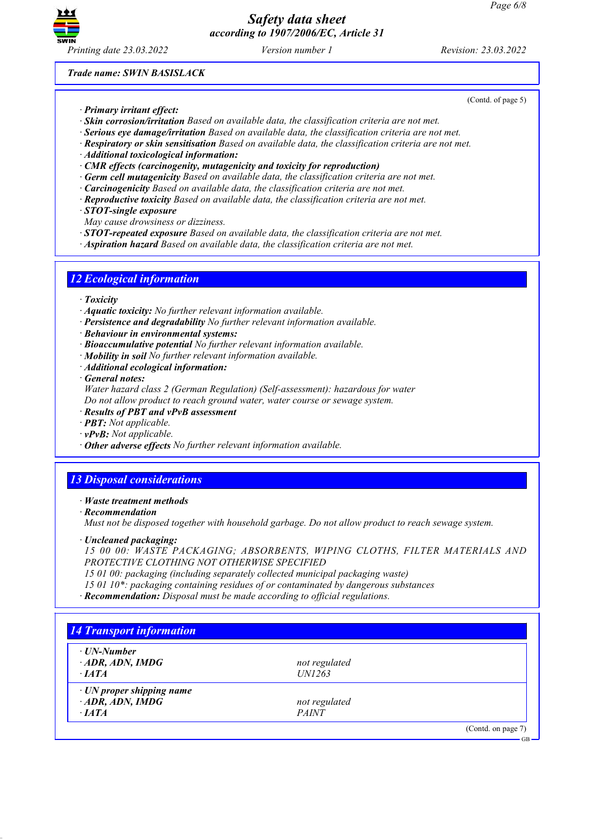

(Contd. of page 5)

*Trade name: SWIN BASISLACK*

- *· Primary irritant effect:*
- *· Skin corrosion/irritation Based on available data, the classification criteria are not met.*
- *· Serious eye damage/irritation Based on available data, the classification criteria are not met.*
- *· Respiratory or skin sensitisation Based on available data, the classification criteria are not met.*
- *· Additional toxicological information:*
- *· CMR effects (carcinogenity, mutagenicity and toxicity for reproduction)*
- *· Germ cell mutagenicity Based on available data, the classification criteria are not met.*
- *· Carcinogenicity Based on available data, the classification criteria are not met.*
- *· Reproductive toxicity Based on available data, the classification criteria are not met.*
- *· STOT-single exposure*
- *May cause drowsiness or dizziness.*
- *· STOT-repeated exposure Based on available data, the classification criteria are not met.*
- *· Aspiration hazard Based on available data, the classification criteria are not met.*

### *12 Ecological information*

- *· Toxicity*
- *· Aquatic toxicity: No further relevant information available.*
- *· Persistence and degradability No further relevant information available.*
- *· Behaviour in environmental systems:*
- *· Bioaccumulative potential No further relevant information available.*
- *· Mobility in soil No further relevant information available.*
- *· Additional ecological information:*
- *· General notes:*

*Water hazard class 2 (German Regulation) (Self-assessment): hazardous for water*

- *Do not allow product to reach ground water, water course or sewage system.*
- *· Results of PBT and vPvB assessment*
- *· PBT: Not applicable.*
- *· vPvB: Not applicable.*
- *· Other adverse effects No further relevant information available.*

## *13 Disposal considerations*

#### *· Waste treatment methods*

*· Recommendation*

*Must not be disposed together with household garbage. Do not allow product to reach sewage system.*

*· Uncleaned packaging:*

*15 00 00: WASTE PACKAGING; ABSORBENTS, WIPING CLOTHS, FILTER MATERIALS AND PROTECTIVE CLOTHING NOT OTHERWISE SPECIFIED*

- *15 01 00: packaging (including separately collected municipal packaging waste)*
- *15 01 10\*: packaging containing residues of or contaminated by dangerous substances*
- *· Recommendation: Disposal must be made according to official regulations.*

| · UN-Number                     |               |  |
|---------------------------------|---------------|--|
| $\cdot$ ADR, ADN, IMDG          | not regulated |  |
| $\cdot$ <i>IATA</i>             | <i>UN1263</i> |  |
| $\cdot$ UN proper shipping name |               |  |
| $\cdot$ ADR, ADN, IMDG          | not regulated |  |
| $\cdot$ <i>IATA</i>             | <b>PAINT</b>  |  |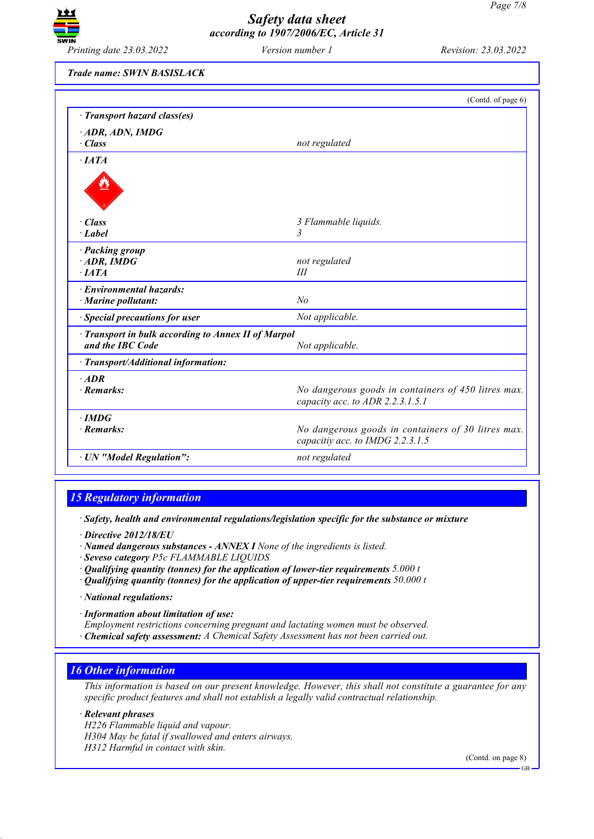

*Printing date 23.03.2022 Version number 1 Revision: 23.03.2022*

*Trade name: SWIN BASISLACK*

| not regulated                                                                           |
|-----------------------------------------------------------------------------------------|
|                                                                                         |
|                                                                                         |
| 3 Flammable liquids.                                                                    |
| 3                                                                                       |
|                                                                                         |
| not regulated                                                                           |
| Ш                                                                                       |
|                                                                                         |
| N <sub>o</sub>                                                                          |
| Not applicable.                                                                         |
| · Transport in bulk according to Annex II of Marpol                                     |
| Not applicable.                                                                         |
|                                                                                         |
|                                                                                         |
| No dangerous goods in containers of 450 litres max.<br>capacity acc. to ADR 2.2.3.1.5.1 |
|                                                                                         |
| No dangerous goods in containers of 30 litres max.<br>capacitiy acc. to IMDG 2.2.3.1.5  |
| not regulated                                                                           |
|                                                                                         |

## *15 Regulatory information*

*· Safety, health and environmental regulations/legislation specific for the substance or mixture*

- *· Directive 2012/18/EU*
- *· Named dangerous substances - ANNEX I None of the ingredients is listed.*
- *· Seveso category P5c FLAMMABLE LIQUIDS*
- *· Qualifying quantity (tonnes) for the application of lower-tier requirements 5.000 t*
- *· Qualifying quantity (tonnes) for the application of upper-tier requirements 50.000 t*
- *· National regulations:*
- *· Information about limitation of use:*
- *Employment restrictions concerning pregnant and lactating women must be observed.*
- *· Chemical safety assessment: A Chemical Safety Assessment has not been carried out.*

### *16 Other information*

This information is based on our present knowledge. However, this shall not constitute a guarantee for any *specific product features and shall not establish a legally valid contractual relationship.*

*· Relevant phrases H226 Flammable liquid and vapour. H304 May be fatal if swallowed and enters airways. H312 Harmful in contact with skin.*

(Contd. on page 8)